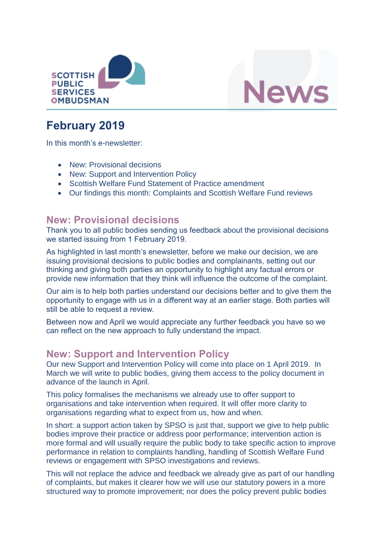



# **February 2019**

In this month's e-newsletter:

- New: Provisional decisions
- New: Support and Intervention Policy
- Scottish Welfare Fund Statement of Practice amendment
- Our findings this month: Complaints and Scottish Welfare Fund reviews

### **New: Provisional decisions**

Thank you to all public bodies sending us feedback about the provisional decisions we started issuing from 1 February 2019.

As highlighted in last month's enewsletter, before we make our decision, we are issuing provisional decisions to public bodies and complainants, setting out our thinking and giving both parties an opportunity to highlight any factual errors or provide new information that they think will influence the outcome of the complaint.

Our aim is to help both parties understand our decisions better and to give them the opportunity to engage with us in a different way at an earlier stage. Both parties will still be able to request a review.

Between now and April we would appreciate any further feedback you have so we can reflect on the new approach to fully understand the impact.

#### **New: Support and Intervention Policy**

Our new Support and Intervention Policy will come into place on 1 April 2019. In March we will write to public bodies, giving them access to the policy document in advance of the launch in April.

This policy formalises the mechanisms we already use to offer support to organisations and take intervention when required. It will offer more clarity to organisations regarding what to expect from us, how and when.

In short: a support action taken by SPSO is just that, support we give to help public bodies improve their practice or address poor performance; intervention action is more formal and will usually require the public body to take specific action to improve performance in relation to complaints handling, handling of Scottish Welfare Fund reviews or engagement with SPSO investigations and reviews.

This will not replace the advice and feedback we already give as part of our handling of complaints, but makes it clearer how we will use our statutory powers in a more structured way to promote improvement; nor does the policy prevent public bodies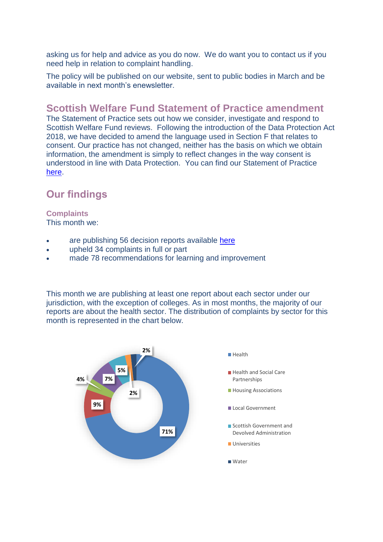asking us for help and advice as you do now. We do want you to contact us if you need help in relation to complaint handling.

The policy will be published on our website, sent to public bodies in March and be available in next month's enewsletter.

#### **Scottish Welfare Fund Statement of Practice amendment**

The Statement of Practice sets out how we consider, investigate and respond to Scottish Welfare Fund reviews. Following the introduction of the Data Protection Act 2018, we have decided to amend the language used in Section F that relates to consent. Our practice has not changed, neither has the basis on which we obtain information, the amendment is simply to reflect changes in the way consent is understood in line with Data Protection. You can find our Statement of Practice [here.](https://www.spso.org.uk/scottishwelfarefund/sites/scottishwelfarefund/files/SWF%20Statement%20of%20Practice.pdf)

## **Our findings**

**Complaints** This month we:

- are publishing 56 decision reports available [here](https://www.spso.org.uk/our-findings)
- upheld 34 complaints in full or part
- made 78 recommendations for learning and improvement

This month we are publishing at least one report about each sector under our jurisdiction, with the exception of colleges. As in most months, the majority of our reports are about the health sector. The distribution of complaints by sector for this month is represented in the chart below.